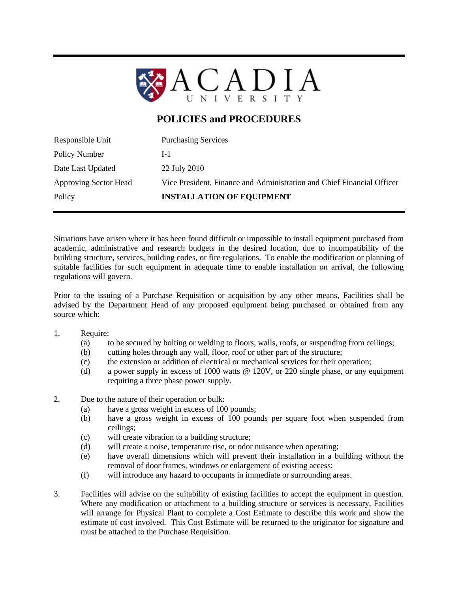

## **POLICIES and PROCEDURES**

| Responsible Unit             | <b>Purchasing Services</b>                                             |
|------------------------------|------------------------------------------------------------------------|
| Policy Number                | $1-1$                                                                  |
| Date Last Updated            | 22 July 2010                                                           |
| <b>Approving Sector Head</b> | Vice President, Finance and Administration and Chief Financial Officer |
| Policy                       | <b>INSTALLATION OF EQUIPMENT</b>                                       |
|                              |                                                                        |

Situations have arisen where it has been found difficult or impossible to install equipment purchased from academic, administrative and research budgets in the desired location, due to incompatibility of the building structure, services, building codes, or fire regulations. To enable the modification or planning of suitable facilities for such equipment in adequate time to enable installation on arrival, the following regulations will govern.

Prior to the issuing of a Purchase Requisition or acquisition by any other means, Facilities shall be advised by the Department Head of any proposed equipment being purchased or obtained from any source which:

## 1. Require:

- (a) to be secured by bolting or welding to floors, walls, roofs, or suspending from ceilings;
- (b) cutting holes through any wall, floor, roof or other part of the structure;
- (c) the extension or addition of electrical or mechanical services for their operation;
- (d) a power supply in excess of 1000 watts @ 120V, or 220 single phase, or any equipment requiring a three phase power supply.
- 2. Due to the nature of their operation or bulk:
	- (a) have a gross weight in excess of 100 pounds;
	- (b) have a gross weight in excess of 100 pounds per square foot when suspended from ceilings;
	- (c) will create vibration to a building structure;
	- (d) will create a noise, temperature rise, or odor nuisance when operating;
	- (e) have overall dimensions which will prevent their installation in a building without the removal of door frames, windows or enlargement of existing access;
	- (f) will introduce any hazard to occupants in immediate or surrounding areas.
- 3. Facilities will advise on the suitability of existing facilities to accept the equipment in question. Where any modification or attachment to a building structure or services is necessary, Facilities will arrange for Physical Plant to complete a Cost Estimate to describe this work and show the estimate of cost involved. This Cost Estimate will be returned to the originator for signature and must be attached to the Purchase Requisition.